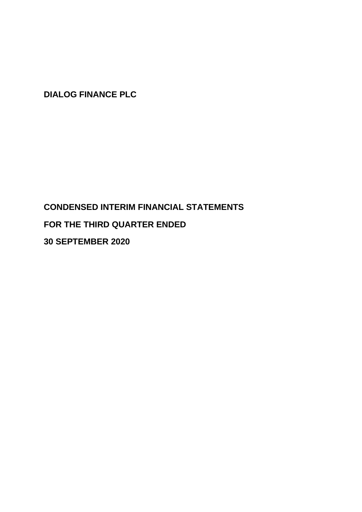# **CONDENSED INTERIM FINANCIAL STATEMENTS FOR THE THIRD QUARTER ENDED 30 SEPTEMBER 2020**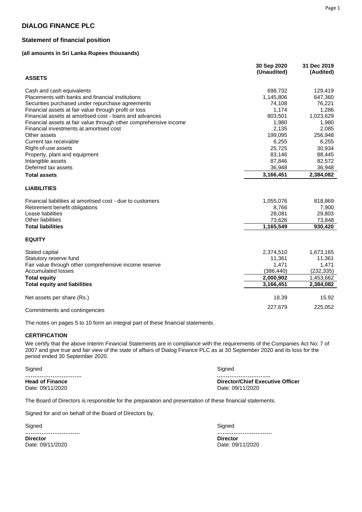#### **Statement of financial position**

#### **(all amounts in Sri Lanka Rupees thousands)**

|                                                                   | 30 Sep 2020<br>(Unaudited) | 31 Dec 2019<br>(Audited) |
|-------------------------------------------------------------------|----------------------------|--------------------------|
| <b>ASSETS</b>                                                     |                            |                          |
| Cash and cash equivalents                                         | 698,732                    | 129,419                  |
| Placements with banks and financial institutions                  | 1,145,806                  | 647,360                  |
| Securities purchased under repurchase agreements                  | 74,108                     | 76,221                   |
| Financial assets at fair value through profit or loss             | 1,174                      | 1,286                    |
| Financial assets at amortised cost - loans and advances           | 803,501                    | 1,023,629                |
| Financial assets at fair value through other comprehensive income | 1,980                      | 1,980                    |
| Financial investments at amortised cost                           | 2,135                      | 2,085                    |
| Other assets                                                      | 199,095                    | 256,948                  |
| Current tax receivable                                            | 6,255                      | 6,255                    |
| Right-of-use assets                                               | 25,725                     | 30,934                   |
| Property, plant and equipment                                     | 83,146                     | 88,445                   |
| Intangible assets                                                 | 87,846                     | 82,572                   |
| Deferred tax assets                                               | 36,948                     | 36,948                   |
| <b>Total assets</b>                                               | 3,166,451                  | 2,384,082                |
| <b>LIABILITIES</b>                                                |                            |                          |
| Financial liabilities at amortised cost - due to customers        | 1,055,076                  | 818,869                  |
| Retirement benefit obligations                                    | 8,766                      | 7,900                    |
| Lease liabilities                                                 | 28,081                     | 29,803                   |
| <b>Other liabilities</b>                                          | 73,626                     | 73,848                   |
| <b>Total liabilities</b>                                          | 1,165,549                  | 930,420                  |
| <b>EQUITY</b>                                                     |                            |                          |
| Stated capital                                                    | 2,374,510                  | 1,673,165                |
| Statutory reserve fund                                            | 11,361                     | 11,361                   |
| Fair value through other comprehensive income reserve             | 1,471                      | 1,471                    |
| <b>Accumulated losses</b>                                         | (386, 440)                 | (232, 335)               |
| <b>Total equity</b>                                               | 2,000,902                  | 1,453,662                |
| <b>Total equity and liabilities</b>                               | 3,166,451                  | 2,384,082                |
| Net assets per share (Rs.)                                        | 18.39                      | 15.92                    |
| Commitments and contingencies                                     | 227,679                    | 225,052                  |

The notes on pages 5 to 10 form an integral part of these financial statements.

**CERTIFICATION**

We certify that the above Interim Financial Statements are in compliance with the requirements of the Companies Act No: 7 of 2007 and give true and fair view of the state of affairs of Dialog Finance PLC as at 30 September 2020 and its loss for the period ended 30 September 2020.

Signed Signed **…………………………. ………………………... Head of Finance <b>Director/Chief Executive Officer Director/Chief Executive Officer Date: 09/11/2020** Date: 09/11/2020

The Board of Directors is responsible for the preparation and presentation of these financial statements.

Signed for and on behalf of the Board of Directors by,

**Signed ………………………… Director Director** 

 Signed **…………………………** Date: 09/11/2020 Date: 09/11/2020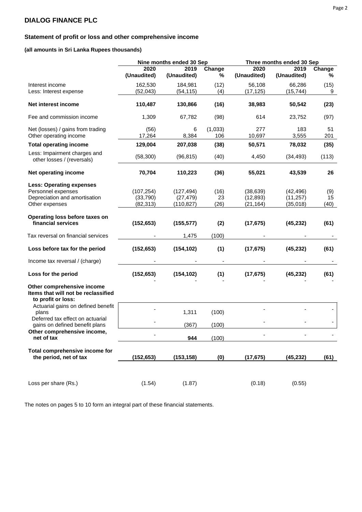### **Statement of profit or loss and other comprehensive income**

#### **(all amounts in Sri Lanka Rupees thousands)**

|                                                                                         |                | Nine months ended 30 Sep |                | Three months ended 30 Sep |              |           |  |
|-----------------------------------------------------------------------------------------|----------------|--------------------------|----------------|---------------------------|--------------|-----------|--|
|                                                                                         | 2020           | 2019                     | Change         | 2020                      | 2019         | Change    |  |
|                                                                                         | (Unaudited)    | (Unaudited)              | ℅              | (Unaudited)               | (Unaudited)  | %         |  |
| Interest income                                                                         | 162,530        | 184,981                  | (12)           | 56,108                    | 66,286       | (15)      |  |
| Less: Interest expense                                                                  | (52, 043)      | (54, 115)                | (4)            | (17, 125)                 | (15, 744)    | 9         |  |
| Net interest income                                                                     | 110,487        | 130,866                  | (16)           | 38,983                    | 50,542       | (23)      |  |
| Fee and commission income                                                               | 1,309          | 67,782                   | (98)           | 614                       | 23,752       | (97)      |  |
| Net (losses) / gains from trading<br>Other operating income                             | (56)<br>17,264 | 6<br>8,384               | (1,033)<br>106 | 277<br>10,697             | 183<br>3,555 | 51<br>201 |  |
| <b>Total operating income</b>                                                           | 129,004        | 207,038                  | (38)           | 50,571                    | 78,032       | (35)      |  |
| Less: Impairment charges and<br>other losses / (reversals)                              | (58, 300)      | (96, 815)                | (40)           | 4,450                     | (34, 493)    | (113)     |  |
| Net operating income                                                                    | 70,704         | 110,223                  | (36)           | 55,021                    | 43,539       | 26        |  |
| <b>Less: Operating expenses</b>                                                         |                |                          |                |                           |              |           |  |
| Personnel expenses                                                                      | (107, 254)     | (127, 494)               | (16)           | (38, 639)                 | (42, 496)    | (9)       |  |
| Depreciation and amortisation                                                           | (33,790)       | (27, 479)                | 23             | (12, 893)                 | (11, 257)    | 15        |  |
| Other expenses                                                                          | (82, 313)      | (110, 827)               | (26)           | (21, 164)                 | (35, 018)    | (40)      |  |
| Operating loss before taxes on                                                          |                |                          |                |                           |              |           |  |
| financial services                                                                      | (152, 653)     | (155, 577)               | (2)            | (17, 675)                 | (45, 232)    | (61)      |  |
| Tax reversal on financial services                                                      |                | 1,475                    | (100)          |                           |              | ٠         |  |
| Loss before tax for the period                                                          | (152, 653)     | (154, 102)               | (1)            | (17, 675)                 | (45, 232)    | (61)      |  |
| Income tax reversal / (charge)                                                          |                |                          |                |                           |              |           |  |
| Loss for the period                                                                     | (152, 653)     | (154, 102)               | (1)            | (17, 675)                 | (45, 232)    | (61)      |  |
| Other comprehensive income<br>Items that will not be reclassified<br>to profit or loss: |                |                          |                |                           |              |           |  |
| Actuarial gains on defined benefit<br>plans                                             |                | 1,311                    | (100)          |                           |              |           |  |
| Deferred tax effect on actuarial<br>gains on defined benefit plans                      |                | (367)                    | (100)          |                           |              |           |  |
| Other comprehensive income,<br>net of tax                                               |                | 944                      | (100)          |                           |              |           |  |
|                                                                                         |                |                          |                |                           |              |           |  |
| Total comprehensive income for                                                          |                |                          |                |                           |              |           |  |
| the period, net of tax                                                                  | (152, 653)     | (153, 158)               | (0)            | (17, 675)                 | (45, 232)    | (61)      |  |
|                                                                                         |                |                          |                |                           |              |           |  |
| Loss per share (Rs.)                                                                    | (1.54)         | (1.87)                   |                | (0.18)                    | (0.55)       |           |  |

The notes on pages 5 to 10 form an integral part of these financial statements.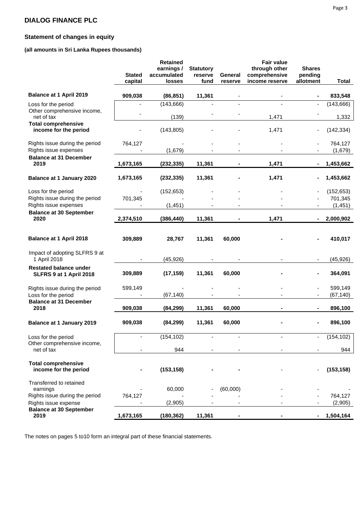### **Statement of changes in equity**

#### **(all amounts in Sri Lanka Rupees thousands)**

| Balance at 1 April 2019<br>909,038<br>(86, 851)<br>833,548<br>11,361<br>(143, 666)<br>(143, 666)<br>Loss for the period<br>Other comprehensive income,<br>(139)<br>1,471<br>net of tax<br>1,332<br><b>Total comprehensive</b><br>income for the period<br>(143, 805)<br>1,471<br>(142, 334)<br>764,127<br>Rights issue during the period<br>764,127<br>Rights issue expenses<br>(1,679)<br>(1,679)<br><b>Balance at 31 December</b><br>2019<br>1,471<br>1,673,165<br>(232, 335)<br>11,361<br>1,453,662<br>(232, 335)<br>11,361<br>1,471<br>1,453,662<br><b>Balance at 1 January 2020</b><br>1,673,165<br>Loss for the period<br>(152, 653)<br>(152, 653)<br>Rights issue during the period<br>701,345<br>701,345<br>Rights issue expenses<br>(1, 451)<br>(1, 451)<br><b>Balance at 30 September</b><br>2020<br>1,471<br>2,000,902<br>2,374,510<br>(386, 440)<br>11,361<br>Balance at 1 April 2018<br>28,767<br>11,361<br>60,000<br>410,017<br>309,889<br>Impact of adopting SLFRS 9 at<br>1 April 2018<br>(45, 926)<br>(45, 926)<br><b>Restated balance under</b><br>364,091<br>309,889<br>(17, 159)<br>11,361<br>60,000<br>SLFRS 9 at 1 April 2018<br>599,149<br>599,149<br>Rights issue during the period<br>٠<br>Loss for the period<br>(67, 140)<br>(67, 140)<br><b>Balance at 31 December</b><br>2018<br>909,038<br>(84, 299)<br>11,361<br>60,000<br>896,100<br><b>Balance at 1 January 2019</b><br>909,038<br>(84, 299)<br>11,361<br>60,000<br>896,100<br>(154, 102)<br>(154, 102)<br>Loss for the period<br>Other comprehensive income,<br>net of tax<br>944<br>944<br><b>Total comprehensive</b><br>income for the period<br>(153, 158)<br>(153, 158)<br>Transferred to retained<br>60,000<br>(60,000)<br>earnings<br>Rights issue during the period<br>764,127<br>764,127<br>(2,905)<br>(2,905)<br>Rights issue expense<br><b>Balance at 30 September</b><br>2019<br>1,673,165<br>(180, 362)<br>11,361<br>1,504,164 | <b>Stated</b><br>capital | <b>Retained</b><br>earnings /<br>accumulated<br>losses | <b>Statutory</b><br>reserve<br>fund | General<br>reserve | <b>Fair value</b><br>through other<br>comprehensive<br>income reserve | <b>Shares</b><br>pending<br>allotment | <b>Total</b> |
|------------------------------------------------------------------------------------------------------------------------------------------------------------------------------------------------------------------------------------------------------------------------------------------------------------------------------------------------------------------------------------------------------------------------------------------------------------------------------------------------------------------------------------------------------------------------------------------------------------------------------------------------------------------------------------------------------------------------------------------------------------------------------------------------------------------------------------------------------------------------------------------------------------------------------------------------------------------------------------------------------------------------------------------------------------------------------------------------------------------------------------------------------------------------------------------------------------------------------------------------------------------------------------------------------------------------------------------------------------------------------------------------------------------------------------------------------------------------------------------------------------------------------------------------------------------------------------------------------------------------------------------------------------------------------------------------------------------------------------------------------------------------------------------------------------------------------------------------------------------------------------------------------------------------------|--------------------------|--------------------------------------------------------|-------------------------------------|--------------------|-----------------------------------------------------------------------|---------------------------------------|--------------|
|                                                                                                                                                                                                                                                                                                                                                                                                                                                                                                                                                                                                                                                                                                                                                                                                                                                                                                                                                                                                                                                                                                                                                                                                                                                                                                                                                                                                                                                                                                                                                                                                                                                                                                                                                                                                                                                                                                                              |                          |                                                        |                                     |                    |                                                                       |                                       |              |
|                                                                                                                                                                                                                                                                                                                                                                                                                                                                                                                                                                                                                                                                                                                                                                                                                                                                                                                                                                                                                                                                                                                                                                                                                                                                                                                                                                                                                                                                                                                                                                                                                                                                                                                                                                                                                                                                                                                              |                          |                                                        |                                     |                    |                                                                       |                                       |              |
|                                                                                                                                                                                                                                                                                                                                                                                                                                                                                                                                                                                                                                                                                                                                                                                                                                                                                                                                                                                                                                                                                                                                                                                                                                                                                                                                                                                                                                                                                                                                                                                                                                                                                                                                                                                                                                                                                                                              |                          |                                                        |                                     |                    |                                                                       |                                       |              |
|                                                                                                                                                                                                                                                                                                                                                                                                                                                                                                                                                                                                                                                                                                                                                                                                                                                                                                                                                                                                                                                                                                                                                                                                                                                                                                                                                                                                                                                                                                                                                                                                                                                                                                                                                                                                                                                                                                                              |                          |                                                        |                                     |                    |                                                                       |                                       |              |
|                                                                                                                                                                                                                                                                                                                                                                                                                                                                                                                                                                                                                                                                                                                                                                                                                                                                                                                                                                                                                                                                                                                                                                                                                                                                                                                                                                                                                                                                                                                                                                                                                                                                                                                                                                                                                                                                                                                              |                          |                                                        |                                     |                    |                                                                       |                                       |              |
|                                                                                                                                                                                                                                                                                                                                                                                                                                                                                                                                                                                                                                                                                                                                                                                                                                                                                                                                                                                                                                                                                                                                                                                                                                                                                                                                                                                                                                                                                                                                                                                                                                                                                                                                                                                                                                                                                                                              |                          |                                                        |                                     |                    |                                                                       |                                       |              |
|                                                                                                                                                                                                                                                                                                                                                                                                                                                                                                                                                                                                                                                                                                                                                                                                                                                                                                                                                                                                                                                                                                                                                                                                                                                                                                                                                                                                                                                                                                                                                                                                                                                                                                                                                                                                                                                                                                                              |                          |                                                        |                                     |                    |                                                                       |                                       |              |
|                                                                                                                                                                                                                                                                                                                                                                                                                                                                                                                                                                                                                                                                                                                                                                                                                                                                                                                                                                                                                                                                                                                                                                                                                                                                                                                                                                                                                                                                                                                                                                                                                                                                                                                                                                                                                                                                                                                              |                          |                                                        |                                     |                    |                                                                       |                                       |              |
|                                                                                                                                                                                                                                                                                                                                                                                                                                                                                                                                                                                                                                                                                                                                                                                                                                                                                                                                                                                                                                                                                                                                                                                                                                                                                                                                                                                                                                                                                                                                                                                                                                                                                                                                                                                                                                                                                                                              |                          |                                                        |                                     |                    |                                                                       |                                       |              |
|                                                                                                                                                                                                                                                                                                                                                                                                                                                                                                                                                                                                                                                                                                                                                                                                                                                                                                                                                                                                                                                                                                                                                                                                                                                                                                                                                                                                                                                                                                                                                                                                                                                                                                                                                                                                                                                                                                                              |                          |                                                        |                                     |                    |                                                                       |                                       |              |
|                                                                                                                                                                                                                                                                                                                                                                                                                                                                                                                                                                                                                                                                                                                                                                                                                                                                                                                                                                                                                                                                                                                                                                                                                                                                                                                                                                                                                                                                                                                                                                                                                                                                                                                                                                                                                                                                                                                              |                          |                                                        |                                     |                    |                                                                       |                                       |              |
|                                                                                                                                                                                                                                                                                                                                                                                                                                                                                                                                                                                                                                                                                                                                                                                                                                                                                                                                                                                                                                                                                                                                                                                                                                                                                                                                                                                                                                                                                                                                                                                                                                                                                                                                                                                                                                                                                                                              |                          |                                                        |                                     |                    |                                                                       |                                       |              |
|                                                                                                                                                                                                                                                                                                                                                                                                                                                                                                                                                                                                                                                                                                                                                                                                                                                                                                                                                                                                                                                                                                                                                                                                                                                                                                                                                                                                                                                                                                                                                                                                                                                                                                                                                                                                                                                                                                                              |                          |                                                        |                                     |                    |                                                                       |                                       |              |
|                                                                                                                                                                                                                                                                                                                                                                                                                                                                                                                                                                                                                                                                                                                                                                                                                                                                                                                                                                                                                                                                                                                                                                                                                                                                                                                                                                                                                                                                                                                                                                                                                                                                                                                                                                                                                                                                                                                              |                          |                                                        |                                     |                    |                                                                       |                                       |              |
|                                                                                                                                                                                                                                                                                                                                                                                                                                                                                                                                                                                                                                                                                                                                                                                                                                                                                                                                                                                                                                                                                                                                                                                                                                                                                                                                                                                                                                                                                                                                                                                                                                                                                                                                                                                                                                                                                                                              |                          |                                                        |                                     |                    |                                                                       |                                       |              |
|                                                                                                                                                                                                                                                                                                                                                                                                                                                                                                                                                                                                                                                                                                                                                                                                                                                                                                                                                                                                                                                                                                                                                                                                                                                                                                                                                                                                                                                                                                                                                                                                                                                                                                                                                                                                                                                                                                                              |                          |                                                        |                                     |                    |                                                                       |                                       |              |
|                                                                                                                                                                                                                                                                                                                                                                                                                                                                                                                                                                                                                                                                                                                                                                                                                                                                                                                                                                                                                                                                                                                                                                                                                                                                                                                                                                                                                                                                                                                                                                                                                                                                                                                                                                                                                                                                                                                              |                          |                                                        |                                     |                    |                                                                       |                                       |              |
|                                                                                                                                                                                                                                                                                                                                                                                                                                                                                                                                                                                                                                                                                                                                                                                                                                                                                                                                                                                                                                                                                                                                                                                                                                                                                                                                                                                                                                                                                                                                                                                                                                                                                                                                                                                                                                                                                                                              |                          |                                                        |                                     |                    |                                                                       |                                       |              |
|                                                                                                                                                                                                                                                                                                                                                                                                                                                                                                                                                                                                                                                                                                                                                                                                                                                                                                                                                                                                                                                                                                                                                                                                                                                                                                                                                                                                                                                                                                                                                                                                                                                                                                                                                                                                                                                                                                                              |                          |                                                        |                                     |                    |                                                                       |                                       |              |
|                                                                                                                                                                                                                                                                                                                                                                                                                                                                                                                                                                                                                                                                                                                                                                                                                                                                                                                                                                                                                                                                                                                                                                                                                                                                                                                                                                                                                                                                                                                                                                                                                                                                                                                                                                                                                                                                                                                              |                          |                                                        |                                     |                    |                                                                       |                                       |              |
|                                                                                                                                                                                                                                                                                                                                                                                                                                                                                                                                                                                                                                                                                                                                                                                                                                                                                                                                                                                                                                                                                                                                                                                                                                                                                                                                                                                                                                                                                                                                                                                                                                                                                                                                                                                                                                                                                                                              |                          |                                                        |                                     |                    |                                                                       |                                       |              |
|                                                                                                                                                                                                                                                                                                                                                                                                                                                                                                                                                                                                                                                                                                                                                                                                                                                                                                                                                                                                                                                                                                                                                                                                                                                                                                                                                                                                                                                                                                                                                                                                                                                                                                                                                                                                                                                                                                                              |                          |                                                        |                                     |                    |                                                                       |                                       |              |
|                                                                                                                                                                                                                                                                                                                                                                                                                                                                                                                                                                                                                                                                                                                                                                                                                                                                                                                                                                                                                                                                                                                                                                                                                                                                                                                                                                                                                                                                                                                                                                                                                                                                                                                                                                                                                                                                                                                              |                          |                                                        |                                     |                    |                                                                       |                                       |              |

The notes on pages 5 to10 form an integral part of these financial statements.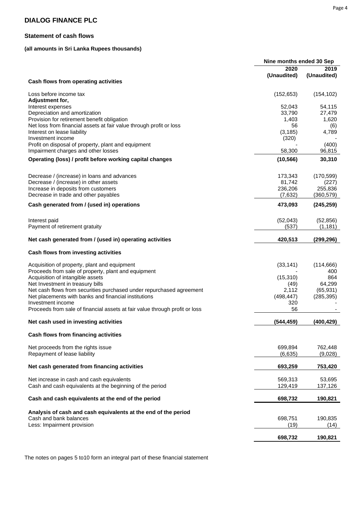#### **Statement of cash flows**

### **(all amounts in Sri Lanka Rupees thousands)**

|                                                                             | Nine months ended 30 Sep |             |
|-----------------------------------------------------------------------------|--------------------------|-------------|
|                                                                             | 2020                     | 2019        |
|                                                                             | (Unaudited)              | (Unaudited) |
| Cash flows from operating activities                                        |                          |             |
| Loss before income tax<br>Adjustment for,                                   | (152, 653)               | (154, 102)  |
| Interest expenses                                                           | 52,043                   | 54,115      |
| Depreciation and amortization                                               | 33,790                   | 27,479      |
| Provision for retirement benefit obligation                                 | 1,403                    | 1,620       |
|                                                                             |                          |             |
| Net loss from financial assets at fair value through profit or loss         | 56                       | (6)         |
| Interest on lease liability                                                 | (3, 185)                 | 4,789       |
| Investment income                                                           | (320)                    |             |
| Profit on disposal of property, plant and equipment                         |                          | (400)       |
| Impairment charges and other losses                                         | 58,300                   | 96,815      |
| Operating (loss) / profit before working capital changes                    | (10, 566)                | 30,310      |
|                                                                             |                          |             |
| Decrease / (increase) in loans and advances                                 | 173,343                  | (170, 599)  |
| Decrease / (increase) in other assets                                       | 81,742                   | (227)       |
| Increase in deposits from customers                                         | 236,206                  | 255,836     |
| Decrease in trade and other payables                                        | (7,632)                  | (360, 579)  |
| Cash generated from / (used in) operations                                  | 473,093                  | (245, 259)  |
|                                                                             |                          |             |
| Interest paid                                                               | (52,043)                 | (52, 856)   |
| Payment of retirement gratuity                                              | (537)                    | (1, 181)    |
| Net cash generated from / (used in) operating activities                    | 420,513                  | (299, 296)  |
|                                                                             |                          |             |
| Cash flows from investing activities                                        |                          |             |
| Acquisition of property, plant and equipment                                | (33, 141)                | (114, 666)  |
| Proceeds from sale of property, plant and equipment                         |                          | 400         |
| Acquisition of intangible assets                                            | (15, 310)                | 864         |
| Net Investment in treasury bills                                            | (49)                     | 64,299      |
| Net cash flows from securities purchased under repurchased agreement        | 2,112                    | (65, 931)   |
| Net placements with banks and financial institutions                        | (498, 447)               | (285, 395)  |
| Investment income                                                           | 320                      |             |
| Proceeds from sale of financial assets at fair value through profit or loss | 56                       |             |
|                                                                             |                          |             |
| Net cash used in investing activities                                       | (544, 459)               | (400, 429)  |
| Cash flows from financing activities                                        |                          |             |
| Net proceeds from the rights issue                                          | 699,894                  | 762,448     |
|                                                                             |                          |             |
| Repayment of lease liability                                                | (6,635)                  | (9,028)     |
| Net cash generated from financing activities                                | 693,259                  | 753,420     |
|                                                                             |                          |             |
| Net increase in cash and cash equivalents                                   | 569,313                  | 53,695      |
| Cash and cash equivalents at the beginning of the period                    | 129,419                  | 137,126     |
| Cash and cash equivalents at the end of the period                          | 698,732                  | 190,821     |
|                                                                             |                          |             |
| Analysis of cash and cash equivalents at the end of the period              |                          |             |
| Cash and bank balances                                                      | 698,751                  | 190,835     |
| Less: Impairment provision                                                  | (19)                     | (14)        |
|                                                                             |                          |             |
|                                                                             | 698,732                  | 190,821     |

The notes on pages 5 to10 form an integral part of these financial statement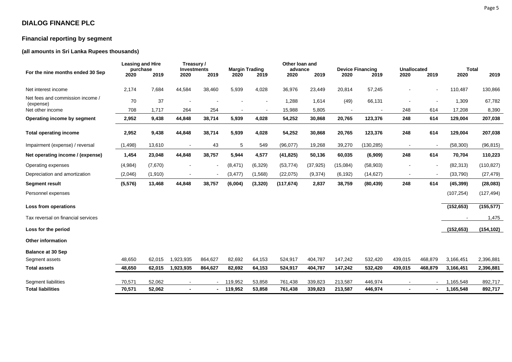## **Financial reporting by segment**

### **(all amounts in Sri Lanka Rupees thousands)**

| For the nine months ended 30 Sep              | <b>Leasing and Hire</b><br>purchase<br>2020 | 2019     | Treasury /<br><b>Investments</b><br>2020 | 2019    | <b>Margin Trading</b><br>2020 | 2019           | Other loan and<br>advance<br>2020 | 2019      | 2020     | <b>Device Financing</b><br>2019 | <b>Unallocated</b><br>2020 | 2019                     | <b>Total</b><br>2020 | 2019       |
|-----------------------------------------------|---------------------------------------------|----------|------------------------------------------|---------|-------------------------------|----------------|-----------------------------------|-----------|----------|---------------------------------|----------------------------|--------------------------|----------------------|------------|
| Net interest income                           | 2,174                                       | 7,684    | 44,584                                   | 38,460  | 5,939                         | 4,028          | 36,976                            | 23,449    | 20,814   | 57,245                          |                            | $\overline{\phantom{a}}$ | 110,487              | 130,866    |
| Net fees and commission income /<br>(expense) | 70                                          | 37       |                                          |         |                               | $\blacksquare$ | 1,288                             | 1,614     | (49)     | 66,131                          | $\blacksquare$             | $\overline{\phantom{a}}$ | 1,309                | 67,782     |
| Net other income                              | 708                                         | 1,717    | 264                                      | 254     |                               |                | 15,988                            | 5,805     |          |                                 | 248                        | 614                      | 17,208               | 8,390      |
| Operating income by segment                   | 2,952                                       | 9,438    | 44,848                                   | 38,714  | 5,939                         | 4,028          | 54,252                            | 30,868    | 20,765   | 123,376                         | 248                        | 614                      | 129,004              | 207,038    |
| <b>Total operating income</b>                 | 2,952                                       | 9,438    | 44,848                                   | 38,714  | 5,939                         | 4,028          | 54,252                            | 30,868    | 20,765   | 123,376                         | 248                        | 614                      | 129,004              | 207,038    |
| Impairment (expense) / reversal               | (1, 498)                                    | 13,610   |                                          | 43      | 5                             | 549            | (96,077)                          | 19,268    | 39,270   | (130, 285)                      |                            | $\overline{a}$           | (58, 300)            | (96, 815)  |
| Net operating income / (expense)              | 1,454                                       | 23,048   | 44,848                                   | 38,757  | 5,944                         | 4,577          | (41, 825)                         | 50,136    | 60,035   | (6,909)                         | 248                        | 614                      | 70,704               | 110,223    |
| Operating expenses                            | (4,984)                                     | (7,670)  |                                          |         | (8, 471)                      | (6, 329)       | (53, 774)                         | (37, 925) | (15,084) | (58,903)                        |                            | $\blacksquare$           | (82, 313)            | (110, 827) |
| Depreciation and amortization                 | (2,046)                                     | (1, 910) |                                          |         | (3, 477)                      | (1, 568)       | (22,075)                          | (9,374)   | (6, 192) | (14, 627)                       | $\blacksquare$             | $\blacksquare$           | (33,790)             | (27, 479)  |
| <b>Segment result</b>                         | (5, 576)                                    | 13,468   | 44,848                                   | 38,757  | (6,004)                       | (3, 320)       | (117, 674)                        | 2,837     | 38,759   | (80, 439)                       | 248                        | 614                      | (45, 399)            | (28,083)   |
| Personnel expenses                            |                                             |          |                                          |         |                               |                |                                   |           |          |                                 |                            |                          | (107, 254)           | (127, 494) |
| Loss from operations                          |                                             |          |                                          |         |                               |                |                                   |           |          |                                 |                            |                          | (152, 653)           | (155, 577) |
| Tax reversal on financial services            |                                             |          |                                          |         |                               |                |                                   |           |          |                                 |                            |                          |                      | 1,475      |
| Loss for the period                           |                                             |          |                                          |         |                               |                |                                   |           |          |                                 |                            |                          | (152, 653)           | (154, 102) |
| <b>Other information</b>                      |                                             |          |                                          |         |                               |                |                                   |           |          |                                 |                            |                          |                      |            |
| <b>Balance at 30 Sep</b>                      |                                             |          |                                          |         |                               |                |                                   |           |          |                                 |                            |                          |                      |            |
| Segment assets                                | 48,650                                      | 62,015   | 1,923,935                                | 864,627 | 82,692                        | 64,153         | 524,917                           | 404,787   | 147,242  | 532,420                         | 439,015                    | 468,879                  | 3,166,451            | 2,396,881  |
| <b>Total assets</b>                           | 48,650                                      | 62,015   | 1,923,935                                | 864,627 | 82,692                        | 64,153         | 524,917                           | 404,787   | 147,242  | 532,420                         | 439,015                    | 468,879                  | 3,166,451            | 2,396,881  |
| Segment liabilities                           | 70,571                                      | 52,062   |                                          |         | 119,952                       | 53,858         | 761,438                           | 339,823   | 213,587  | 446,974                         | $\blacksquare$             |                          | 1,165,548            | 892,717    |
| <b>Total liabilities</b>                      | 70,571                                      | 52.062   |                                          |         | 119.952                       | 53,858         | 761,438                           | 339.823   | 213.587  | 446.974                         |                            | ۰.                       | 1,165,548            | 892,717    |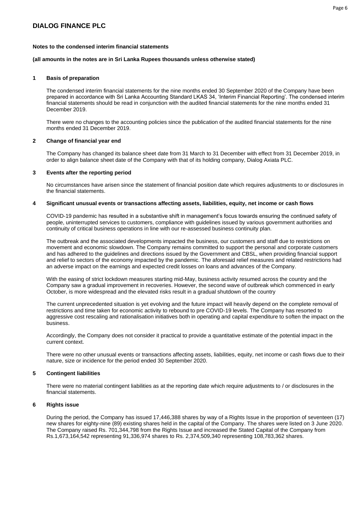#### **(all amounts in the notes are in Sri Lanka Rupees thousands unless otherwise stated)**

#### **1 Basis of preparation**

The condensed interim financial statements for the nine months ended 30 September 2020 of the Company have been prepared in accordance with Sri Lanka Accounting Standard LKAS 34, 'Interim Financial Reporting'. The condensed interim financial statements should be read in conjunction with the audited financial statements for the nine months ended 31 December 2019.

There were no changes to the accounting policies since the publication of the audited financial statements for the nine months ended 31 December 2019.

#### **2 Change of financial year end**

The Company has changed its balance sheet date from 31 March to 31 December with effect from 31 December 2019, in order to align balance sheet date of the Company with that of its holding company, Dialog Axiata PLC.

#### **3 Events after the reporting period**

No circumstances have arisen since the statement of financial position date which requires adjustments to or disclosures in the financial statements.

#### **4 Significant unusual events or transactions affecting assets, liabilities, equity, net income or cash flows**

COVID-19 pandemic has resulted in a substantive shift in management's focus towards ensuring the continued safety of people, uninterrupted services to customers, compliance with guidelines issued by various government authorities and continuity of critical business operations in line with our re-assessed business continuity plan.

The outbreak and the associated developments impacted the business, our customers and staff due to restrictions on movement and economic slowdown. The Company remains committed to support the personal and corporate customers and has adhered to the guidelines and directions issued by the Government and CBSL, when providing financial support and relief to sectors of the economy impacted by the pandemic. The aforesaid relief measures and related restrictions had an adverse impact on the earnings and expected credit losses on loans and advances of the Company.

With the easing of strict lockdown measures starting mid-May, business activity resumed across the country and the Company saw a gradual improvement in recoveries. However, the second wave of outbreak which commenced in early October, is more widespread and the elevated risks result in a gradual shutdown of the country

The current unprecedented situation is yet evolving and the future impact will heavily depend on the complete removal of restrictions and time taken for economic activity to rebound to pre COVID-19 levels. The Company has resorted to aggressive cost rescaling and rationalisation initiatives both in operating and capital expenditure to soften the impact on the business.

Accordingly, the Company does not consider it practical to provide a quantitative estimate of the potential impact in the current context.

There were no other unusual events or transactions affecting assets, liabilities, equity, net income or cash flows due to their nature, size or incidence for the period ended 30 September 2020.

#### **5 Contingent liabilities**

There were no material contingent liabilities as at the reporting date which require adjustments to / or disclosures in the financial statements.

#### **6 Rights issue**

During the period, the Company has issued 17,446,388 shares by way of a Rights Issue in the proportion of seventeen (17) new shares for eighty-nine (89) existing shares held in the capital of the Company. The shares were listed on 3 June 2020. The Company raised Rs. 701,344,798 from the Rights Issue and increased the Stated Capital of the Company from Rs.1,673,164,542 representing 91,336,974 shares to Rs. 2,374,509,340 representing 108,783,362 shares.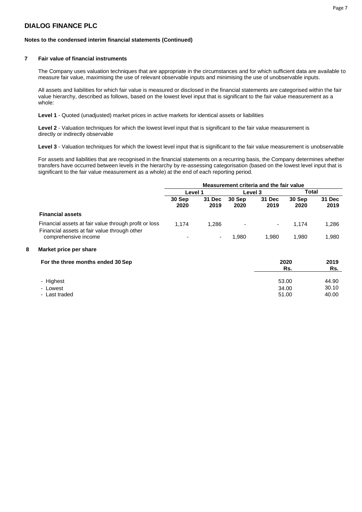#### **Notes to the condensed interim financial statements (Continued)**

#### **7 Fair value of financial instruments**

The Company uses valuation techniques that are appropriate in the circumstances and for which sufficient data are available to measure fair value, maximising the use of relevant observable inputs and minimising the use of unobservable inputs.

All assets and liabilities for which fair value is measured or disclosed in the financial statements are categorised within the fair value hierarchy, described as follows, based on the lowest level input that is significant to the fair value measurement as a whole:

**Level 1** - Quoted (unadjusted) market prices in active markets for identical assets or liabilities

**Level 2** - Valuation techniques for which the lowest level input that is significant to the fair value measurement is directly or indirectly observable

**Level 3** - Valuation techniques for which the lowest level input that is significant to the fair value measurement is unobservable

For assets and liabilities that are recognised in the financial statements on a recurring basis, the Company determines whether transfers have occurred between levels in the hierarchy by re-assessing categorisation (based on the lowest level input that is significant to the fair value measurement as a whole) at the end of each reporting period.

|                                                                                                       |                          |                |                | Measurement criteria and the fair value |                |                |
|-------------------------------------------------------------------------------------------------------|--------------------------|----------------|----------------|-----------------------------------------|----------------|----------------|
|                                                                                                       | Level 1                  |                | Level 3        |                                         | Total          |                |
|                                                                                                       | 30 Sep<br>2020           | 31 Dec<br>2019 | 30 Sep<br>2020 | 31 Dec<br>2019                          | 30 Sep<br>2020 | 31 Dec<br>2019 |
| <b>Financial assets</b>                                                                               |                          |                |                |                                         |                |                |
| Financial assets at fair value through profit or loss<br>Financial assets at fair value through other | 1.174                    | 1.286          | ۰              | ۰                                       | 1.174          | 1,286          |
| comprehensive income                                                                                  | $\overline{\phantom{0}}$ | ۰              | 1.980          | 1.980                                   | 1.980          | 1,980          |

#### **8 Market price per share**

| For the three months ended 30 Sep | 2020<br>Rs. | 2019<br>Rs. |
|-----------------------------------|-------------|-------------|
| - Highest                         | 53.00       | 44.90       |
| - Lowest                          | 34.00       | 30.10       |
| - Last traded                     | 51.00       | 40.00       |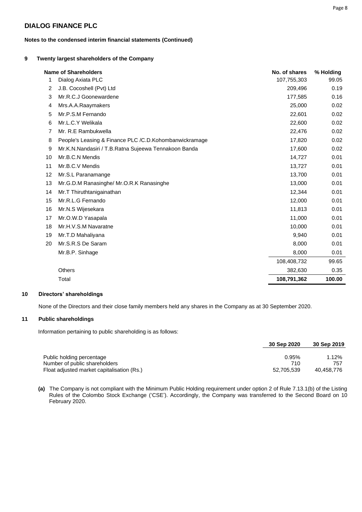#### **Notes to the condensed interim financial statements (Continued)**

#### **9 Twenty largest shareholders of the Company**

|    | <b>Name of Shareholders</b>                            | No. of shares | % Holding |
|----|--------------------------------------------------------|---------------|-----------|
| 1  | Dialog Axiata PLC                                      | 107,755,303   | 99.05     |
| 2  | J.B. Cocoshell (Pvt) Ltd                               | 209,496       | 0.19      |
| 3  | Mr.R.C.J Goonewardene                                  | 177,585       | 0.16      |
| 4  | Mrs.A.A.Raaymakers                                     | 25,000        | 0.02      |
| 5  | Mr.P.S.M Fernando                                      | 22,601        | 0.02      |
| 6  | Mr.L.C.Y Welikala                                      | 22,600        | 0.02      |
| 7  | Mr. R.E Rambukwella                                    | 22,476        | 0.02      |
| 8  | People's Leasing & Finance PLC /C.D.Kohombanwickramage | 17,820        | 0.02      |
| 9  | Mr.K.N.Nandasiri / T.B.Ratna Sujeewa Tennakoon Banda   | 17,600        | 0.02      |
| 10 | Mr.B.C.N Mendis                                        | 14,727        | 0.01      |
| 11 | Mr.B.C.V Mendis                                        | 13,727        | 0.01      |
| 12 | Mr.S.L Paranamange                                     | 13,700        | 0.01      |
| 13 | Mr.G.D.M Ranasinghe/ Mr.O.R.K Ranasinghe               | 13,000        | 0.01      |
| 14 | Mr.T Thiruthtanigainathan                              | 12,344        | 0.01      |
| 15 | Mr.R.L.G Fernando                                      | 12,000        | 0.01      |
| 16 | Mr.N.S Wijesekara                                      | 11,813        | 0.01      |
| 17 | Mr.O.W.D Yasapala                                      | 11,000        | 0.01      |
| 18 | Mr.H.V.S.M Navaratne                                   | 10,000        | 0.01      |
| 19 | Mr.T.D Mahaliyana                                      | 9,940         | 0.01      |
| 20 | Mr.S.R.S De Saram                                      | 8,000         | 0.01      |
|    | Mr.B.P. Sinhage                                        | 8,000         | 0.01      |
|    |                                                        | 108,408,732   | 99.65     |
|    | Others                                                 | 382,630       | 0.35      |
|    | Total                                                  | 108,791,362   | 100.00    |

#### **10 Directors' shareholdings**

None of the Directors and their close family members held any shares in the Company as at 30 September 2020.

#### **11 Public shareholdings**

Information pertaining to public shareholding is as follows:

|                                            | 30 Sep 2020 | 30 Sep 2019 |
|--------------------------------------------|-------------|-------------|
|                                            |             |             |
| Public holding percentage                  | 0.95%       | 1.12%       |
| Number of public shareholders              | 710         |             |
| Float adjusted market capitalisation (Rs.) | 52,705,539  | 40,458,776  |

**(a)** The Company is not compliant with the Minimum Public Holding requirement under option 2 of Rule 7.13.1(b) of the Listing Rules of the Colombo Stock Exchange ('CSE'). Accordingly, the Company was transferred to the Second Board on 10 February 2020.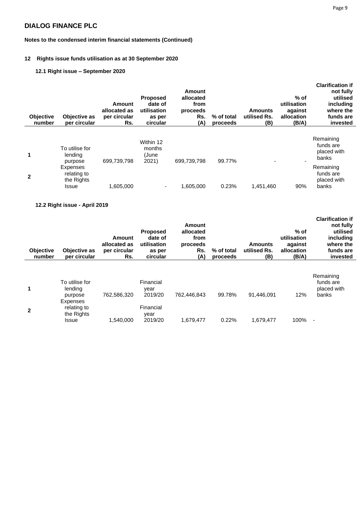#### **Notes to the condensed interim financial statements (Continued)**

#### **12 Rights issue funds utilisation as at 30 September 2020**

### **12.1 Right issue – September 2020**

| <b>Objective</b><br>number | Objective as<br>per circular                   | <b>Amount</b><br>allocated as<br>per circular<br>Rs. | <b>Proposed</b><br>date of<br>utilisation<br>as per<br>circular | Amount<br>allocated<br>from<br>proceeds<br>Rs.<br>(A) | % of total<br>proceeds | Amounts<br>utilised Rs.<br>(B) | $%$ of<br>utilisation<br>against<br>allocation<br>(B/A) | <b>Clarification if</b><br>not fully<br>utilised<br>including<br>where the<br>funds are<br>invested |
|----------------------------|------------------------------------------------|------------------------------------------------------|-----------------------------------------------------------------|-------------------------------------------------------|------------------------|--------------------------------|---------------------------------------------------------|-----------------------------------------------------------------------------------------------------|
| 1                          | To utilise for<br>lending<br>purpose           | 699,739,798                                          | Within 12<br>months<br>(June<br>2021)                           | 699,739,798                                           | 99.77%                 |                                |                                                         | Remaining<br>funds are<br>placed with<br>banks                                                      |
| $\mathbf{2}$               | Expenses<br>relating to<br>the Rights<br>Issue | 1,605,000                                            | $\overline{\phantom{a}}$                                        | 1,605,000                                             | 0.23%                  | 1,451,460                      | 90%                                                     | Remaining<br>funds are<br>placed with<br>banks                                                      |

#### **12.2 Right issue - April 2019**

| <b>Objective</b><br>number | Objective as<br>per circular                          | Amount<br>allocated as<br>per circular<br>Rs. | <b>Proposed</b><br>date of<br>utilisation<br>as per<br>circular | Amount<br>allocated<br>from<br>proceeds<br>Rs.<br>(A) | % of total<br>proceeds | <b>Amounts</b><br>utilised Rs.<br>(B) | $%$ of<br>utilisation<br>against<br>allocation<br>(B/A) | <b>Clarification if</b><br>not fully<br>utilised<br>including<br>where the<br>funds are<br>invested |
|----------------------------|-------------------------------------------------------|-----------------------------------------------|-----------------------------------------------------------------|-------------------------------------------------------|------------------------|---------------------------------------|---------------------------------------------------------|-----------------------------------------------------------------------------------------------------|
| $\blacktriangleleft$       | To utilise for<br>lending<br>purpose                  | 762,586,320                                   | Financial<br>year<br>2019/20                                    | 762.446.843                                           | 99.78%                 | 91.446.091                            | 12%                                                     | Remaining<br>funds are<br>placed with<br>banks                                                      |
| $\mathbf{2}$               | Expenses<br>relating to<br>the Rights<br><b>Issue</b> | 1,540,000                                     | Financial<br>vear<br>2019/20                                    | 1,679,477                                             | 0.22%                  | 1,679,477                             | 100%                                                    | $\overline{\phantom{a}}$                                                                            |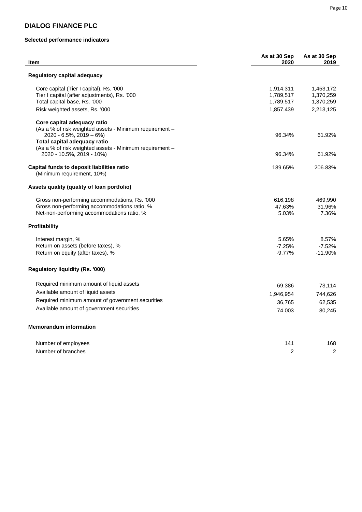#### **Selected performance indicators**

| Regulatory capital adequacy<br>Core capital (Tier I capital), Rs. '000<br>1,914,311<br>1,453,172<br>Tier I capital (after adjustments), Rs. '000<br>1,789,517<br>1,370,259<br>Total capital base, Rs. '000<br>1,789,517<br>1,370,259<br>Risk weighted assets, Rs. '000<br>1,857,439<br>2,213,125<br>Core capital adequacy ratio<br>(As a % of risk weighted assets - Minimum requirement -<br>$2020 - 6.5\%$ , $2019 - 6\%$<br>96.34%<br>61.92%<br>Total capital adequacy ratio<br>(As a % of risk weighted assets - Minimum requirement -<br>2020 - 10.5%, 2019 - 10%)<br>96.34%<br>61.92%<br>Capital funds to deposit liabilities ratio<br>189.65%<br>206.83%<br>(Minimum requirement, 10%)<br>Assets quality (quality of loan portfolio)<br>Gross non-performing accommodations, Rs. '000<br>469,990<br>616,198<br>Gross non-performing accommodations ratio, %<br>47.63%<br>31.96%<br>Net-non-performing accommodations ratio, %<br>5.03%<br>7.36%<br>Profitability<br>Interest margin, %<br>5.65%<br>8.57%<br>Return on assets (before taxes), %<br>$-7.25%$<br>$-7.52%$<br>Return on equity (after taxes), %<br>$-9.77%$<br>$-11.90%$<br><b>Regulatory liquidity (Rs. '000)</b><br>Required minimum amount of liquid assets<br>69,386<br>73,114<br>Available amount of liquid assets<br>744,626<br>1,946,954<br>Required minimum amount of government securities<br>36,765<br>62,535<br>Available amount of government securities<br>74,003<br>80,245<br><b>Memorandum information</b><br>Number of employees<br>168<br>141<br>$\overline{2}$<br>$\overline{c}$<br>Number of branches | <b>Item</b> | As at 30 Sep<br>2020 | As at 30 Sep<br>2019 |
|---------------------------------------------------------------------------------------------------------------------------------------------------------------------------------------------------------------------------------------------------------------------------------------------------------------------------------------------------------------------------------------------------------------------------------------------------------------------------------------------------------------------------------------------------------------------------------------------------------------------------------------------------------------------------------------------------------------------------------------------------------------------------------------------------------------------------------------------------------------------------------------------------------------------------------------------------------------------------------------------------------------------------------------------------------------------------------------------------------------------------------------------------------------------------------------------------------------------------------------------------------------------------------------------------------------------------------------------------------------------------------------------------------------------------------------------------------------------------------------------------------------------------------------------------------------------------------------------|-------------|----------------------|----------------------|
|                                                                                                                                                                                                                                                                                                                                                                                                                                                                                                                                                                                                                                                                                                                                                                                                                                                                                                                                                                                                                                                                                                                                                                                                                                                                                                                                                                                                                                                                                                                                                                                             |             |                      |                      |
|                                                                                                                                                                                                                                                                                                                                                                                                                                                                                                                                                                                                                                                                                                                                                                                                                                                                                                                                                                                                                                                                                                                                                                                                                                                                                                                                                                                                                                                                                                                                                                                             |             |                      |                      |
|                                                                                                                                                                                                                                                                                                                                                                                                                                                                                                                                                                                                                                                                                                                                                                                                                                                                                                                                                                                                                                                                                                                                                                                                                                                                                                                                                                                                                                                                                                                                                                                             |             |                      |                      |
|                                                                                                                                                                                                                                                                                                                                                                                                                                                                                                                                                                                                                                                                                                                                                                                                                                                                                                                                                                                                                                                                                                                                                                                                                                                                                                                                                                                                                                                                                                                                                                                             |             |                      |                      |
|                                                                                                                                                                                                                                                                                                                                                                                                                                                                                                                                                                                                                                                                                                                                                                                                                                                                                                                                                                                                                                                                                                                                                                                                                                                                                                                                                                                                                                                                                                                                                                                             |             |                      |                      |
|                                                                                                                                                                                                                                                                                                                                                                                                                                                                                                                                                                                                                                                                                                                                                                                                                                                                                                                                                                                                                                                                                                                                                                                                                                                                                                                                                                                                                                                                                                                                                                                             |             |                      |                      |
|                                                                                                                                                                                                                                                                                                                                                                                                                                                                                                                                                                                                                                                                                                                                                                                                                                                                                                                                                                                                                                                                                                                                                                                                                                                                                                                                                                                                                                                                                                                                                                                             |             |                      |                      |
|                                                                                                                                                                                                                                                                                                                                                                                                                                                                                                                                                                                                                                                                                                                                                                                                                                                                                                                                                                                                                                                                                                                                                                                                                                                                                                                                                                                                                                                                                                                                                                                             |             |                      |                      |
|                                                                                                                                                                                                                                                                                                                                                                                                                                                                                                                                                                                                                                                                                                                                                                                                                                                                                                                                                                                                                                                                                                                                                                                                                                                                                                                                                                                                                                                                                                                                                                                             |             |                      |                      |
|                                                                                                                                                                                                                                                                                                                                                                                                                                                                                                                                                                                                                                                                                                                                                                                                                                                                                                                                                                                                                                                                                                                                                                                                                                                                                                                                                                                                                                                                                                                                                                                             |             |                      |                      |
|                                                                                                                                                                                                                                                                                                                                                                                                                                                                                                                                                                                                                                                                                                                                                                                                                                                                                                                                                                                                                                                                                                                                                                                                                                                                                                                                                                                                                                                                                                                                                                                             |             |                      |                      |
|                                                                                                                                                                                                                                                                                                                                                                                                                                                                                                                                                                                                                                                                                                                                                                                                                                                                                                                                                                                                                                                                                                                                                                                                                                                                                                                                                                                                                                                                                                                                                                                             |             |                      |                      |
|                                                                                                                                                                                                                                                                                                                                                                                                                                                                                                                                                                                                                                                                                                                                                                                                                                                                                                                                                                                                                                                                                                                                                                                                                                                                                                                                                                                                                                                                                                                                                                                             |             |                      |                      |
|                                                                                                                                                                                                                                                                                                                                                                                                                                                                                                                                                                                                                                                                                                                                                                                                                                                                                                                                                                                                                                                                                                                                                                                                                                                                                                                                                                                                                                                                                                                                                                                             |             |                      |                      |
|                                                                                                                                                                                                                                                                                                                                                                                                                                                                                                                                                                                                                                                                                                                                                                                                                                                                                                                                                                                                                                                                                                                                                                                                                                                                                                                                                                                                                                                                                                                                                                                             |             |                      |                      |
|                                                                                                                                                                                                                                                                                                                                                                                                                                                                                                                                                                                                                                                                                                                                                                                                                                                                                                                                                                                                                                                                                                                                                                                                                                                                                                                                                                                                                                                                                                                                                                                             |             |                      |                      |
|                                                                                                                                                                                                                                                                                                                                                                                                                                                                                                                                                                                                                                                                                                                                                                                                                                                                                                                                                                                                                                                                                                                                                                                                                                                                                                                                                                                                                                                                                                                                                                                             |             |                      |                      |
|                                                                                                                                                                                                                                                                                                                                                                                                                                                                                                                                                                                                                                                                                                                                                                                                                                                                                                                                                                                                                                                                                                                                                                                                                                                                                                                                                                                                                                                                                                                                                                                             |             |                      |                      |
|                                                                                                                                                                                                                                                                                                                                                                                                                                                                                                                                                                                                                                                                                                                                                                                                                                                                                                                                                                                                                                                                                                                                                                                                                                                                                                                                                                                                                                                                                                                                                                                             |             |                      |                      |
|                                                                                                                                                                                                                                                                                                                                                                                                                                                                                                                                                                                                                                                                                                                                                                                                                                                                                                                                                                                                                                                                                                                                                                                                                                                                                                                                                                                                                                                                                                                                                                                             |             |                      |                      |
|                                                                                                                                                                                                                                                                                                                                                                                                                                                                                                                                                                                                                                                                                                                                                                                                                                                                                                                                                                                                                                                                                                                                                                                                                                                                                                                                                                                                                                                                                                                                                                                             |             |                      |                      |
|                                                                                                                                                                                                                                                                                                                                                                                                                                                                                                                                                                                                                                                                                                                                                                                                                                                                                                                                                                                                                                                                                                                                                                                                                                                                                                                                                                                                                                                                                                                                                                                             |             |                      |                      |
|                                                                                                                                                                                                                                                                                                                                                                                                                                                                                                                                                                                                                                                                                                                                                                                                                                                                                                                                                                                                                                                                                                                                                                                                                                                                                                                                                                                                                                                                                                                                                                                             |             |                      |                      |
|                                                                                                                                                                                                                                                                                                                                                                                                                                                                                                                                                                                                                                                                                                                                                                                                                                                                                                                                                                                                                                                                                                                                                                                                                                                                                                                                                                                                                                                                                                                                                                                             |             |                      |                      |
|                                                                                                                                                                                                                                                                                                                                                                                                                                                                                                                                                                                                                                                                                                                                                                                                                                                                                                                                                                                                                                                                                                                                                                                                                                                                                                                                                                                                                                                                                                                                                                                             |             |                      |                      |
|                                                                                                                                                                                                                                                                                                                                                                                                                                                                                                                                                                                                                                                                                                                                                                                                                                                                                                                                                                                                                                                                                                                                                                                                                                                                                                                                                                                                                                                                                                                                                                                             |             |                      |                      |